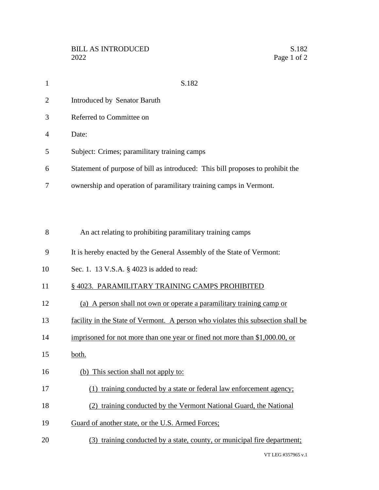| 1  | S.182                                                                          |
|----|--------------------------------------------------------------------------------|
| 2  | Introduced by Senator Baruth                                                   |
| 3  | Referred to Committee on                                                       |
| 4  | Date:                                                                          |
| 5  | Subject: Crimes; paramilitary training camps                                   |
| 6  | Statement of purpose of bill as introduced: This bill proposes to prohibit the |
| 7  | ownership and operation of paramilitary training camps in Vermont.             |
|    |                                                                                |
|    |                                                                                |
| 8  | An act relating to prohibiting paramilitary training camps                     |
| 9  | It is hereby enacted by the General Assembly of the State of Vermont:          |
| 10 | Sec. 1. 13 V.S.A. § 4023 is added to read:                                     |
|    |                                                                                |

## 11 § 4023. PARAMILITARY TRAINING CAMPS PROHIBITED

- (a) A person shall not own or operate a paramilitary training camp or
- facility in the State of Vermont. A person who violates this subsection shall be
- 14 imprisoned for not more than one year or fined not more than \$1,000.00, or
- both.
- (b) This section shall not apply to:
- (1) training conducted by a state or federal law enforcement agency;
- (2) training conducted by the Vermont National Guard, the National
- Guard of another state, or the U.S. Armed Forces;
- (3) training conducted by a state, county, or municipal fire department;